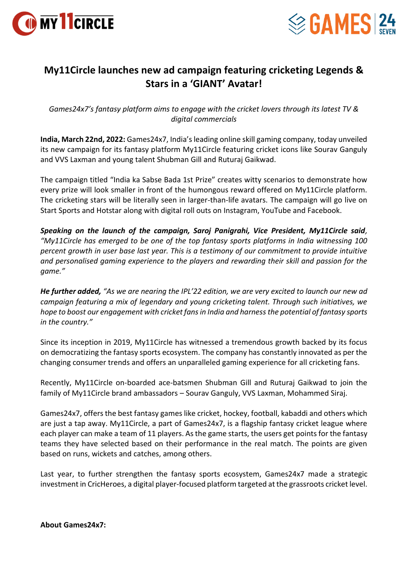



## **My11Circle launches new ad campaign featuring cricketing Legends & Stars in a 'GIANT' Avatar!**

*Games24x7's fantasy platform aims to engage with the cricket lovers through its latest TV & digital commercials*

**India, March 22nd, 2022:** Games24x7, India's leading online skill gaming company, today unveiled its new campaign for its fantasy platform My11Circle featuring cricket icons like Sourav Ganguly and VVS Laxman and young talent Shubman Gill and Ruturaj Gaikwad.

The campaign titled "India ka Sabse Bada 1st Prize" creates witty scenarios to demonstrate how every prize will look smaller in front of the humongous reward offered on My11Circle platform. The cricketing stars will be literally seen in larger-than-life avatars. The campaign will go live on Start Sports and Hotstar along with digital roll outs on Instagram, YouTube and Facebook.

*Speaking on the launch of the campaign, Saroj Panigrahi, Vice President, My11Circle said, "My11Circle has emerged to be one of the top fantasy sports platforms in India witnessing 100 percent growth in user base last year. This is a testimony of our commitment to provide intuitive and personalised gaming experience to the players and rewarding their skill and passion for the game."*

*He further added, "As we are nearing the IPL'22 edition, we are very excited to launch our new ad campaign featuring a mix of legendary and young cricketing talent. Through such initiatives, we hope to boost our engagement with cricket fans in India and harness the potential of fantasy sports in the country."*

Since its inception in 2019, My11Circle has witnessed a tremendous growth backed by its focus on democratizing the fantasy sports ecosystem. The company has constantly innovated as per the changing consumer trends and offers an unparalleled gaming experience for all cricketing fans.

Recently, My11Circle on-boarded ace-batsmen Shubman Gill and Ruturaj Gaikwad to join the family of My11Circle brand ambassadors – Sourav Ganguly, VVS Laxman, Mohammed Siraj.

Games24x7, offers the best fantasy games like cricket, hockey, football, kabaddi and others which are just a tap away. My11Circle, a part of Games24x7, is a flagship fantasy cricket league where each player can make a team of 11 players. As the game starts, the users get points for the fantasy teams they have selected based on their performance in the real match. The points are given based on runs, wickets and catches, among others.

Last year, to further strengthen the fantasy sports ecosystem, Games24x7 made a strategic investment in CricHeroes, a digital player-focused platform targeted at the grassroots cricket level.

**About Games24x7:**